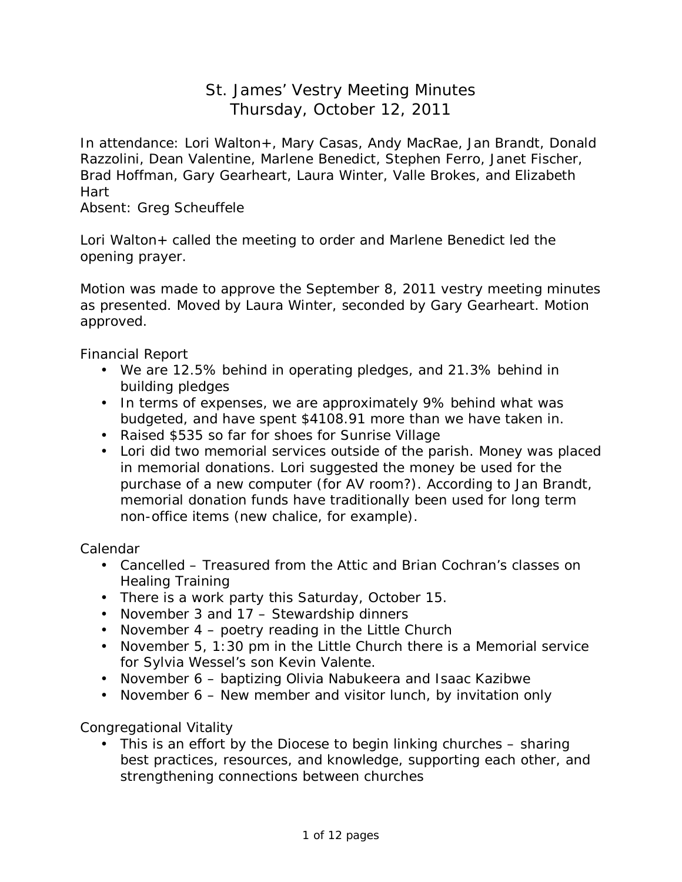# St. James' Vestry Meeting Minutes Thursday, October 12, 2011

In attendance: Lori Walton+, Mary Casas, Andy MacRae, Jan Brandt, Donald Razzolini, Dean Valentine, Marlene Benedict, Stephen Ferro, Janet Fischer, Brad Hoffman, Gary Gearheart, Laura Winter, Valle Brokes, and Elizabeth Hart

Absent: Greg Scheuffele

Lori Walton+ called the meeting to order and Marlene Benedict led the opening prayer.

Motion was made to approve the September 8, 2011 vestry meeting minutes as presented. Moved by Laura Winter, seconded by Gary Gearheart. Motion approved.

Financial Report

- We are 12.5% behind in operating pledges, and 21.3% behind in building pledges
- In terms of expenses, we are approximately 9% behind what was budgeted, and have spent \$4108.91 more than we have taken in.
- Raised \$535 so far for shoes for Sunrise Village
- Lori did two memorial services outside of the parish. Money was placed in memorial donations. Lori suggested the money be used for the purchase of a new computer (for AV room?). According to Jan Brandt, memorial donation funds have traditionally been used for long term non-office items (new chalice, for example).

Calendar

- Cancelled Treasured from the Attic and Brian Cochran's classes on Healing Training
- There is a work party this Saturday, October 15.
- November 3 and 17 Stewardship dinners
- November 4 poetry reading in the Little Church
- November 5, 1:30 pm in the Little Church there is a Memorial service for Sylvia Wessel's son Kevin Valente.
- November 6 baptizing Olivia Nabukeera and Isaac Kazibwe
- November 6 New member and visitor lunch, by invitation only

Congregational Vitality

• This is an effort by the Diocese to begin linking churches – sharing best practices, resources, and knowledge, supporting each other, and strengthening connections between churches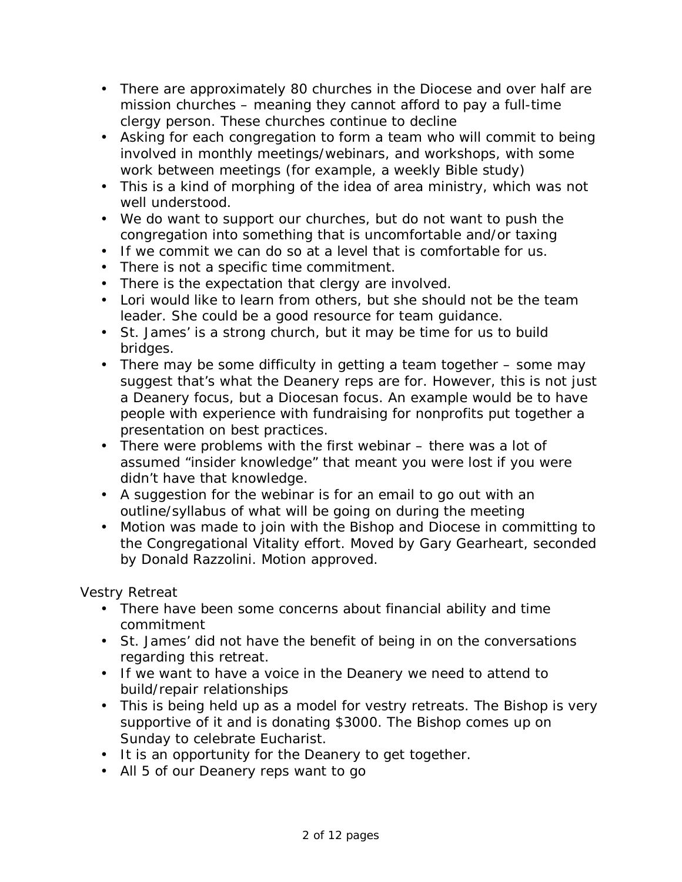- There are approximately 80 churches in the Diocese and over half are mission churches – meaning they cannot afford to pay a full-time clergy person. These churches continue to decline
- Asking for each congregation to form a team who will commit to being involved in monthly meetings/webinars, and workshops, with some work between meetings (for example, a weekly Bible study)
- This is a kind of morphing of the idea of area ministry, which was not well understood.
- We do want to support our churches, but do not want to push the congregation into something that is uncomfortable and/or taxing
- If we commit we can do so at a level that is comfortable for us.
- There is not a specific time commitment.
- There is the expectation that clergy are involved.
- Lori would like to learn from others, but she should not be the team leader. She could be a good resource for team guidance.
- St. James' is a strong church, but it may be time for us to build bridges.
- There may be some difficulty in getting a team together some may suggest that's what the Deanery reps are for. However, this is not just a Deanery focus, but a Diocesan focus. An example would be to have people with experience with fundraising for nonprofits put together a presentation on best practices.
- There were problems with the first webinar there was a lot of assumed "insider knowledge" that meant you were lost if you were didn't have that knowledge.
- A suggestion for the webinar is for an email to go out with an outline/syllabus of what will be going on during the meeting
- Motion was made to join with the Bishop and Diocese in committing to the Congregational Vitality effort. Moved by Gary Gearheart, seconded by Donald Razzolini. Motion approved.

Vestry Retreat

- There have been some concerns about financial ability and time commitment
- St. James' did not have the benefit of being in on the conversations regarding this retreat.
- If we want to have a voice in the Deanery we need to attend to build/repair relationships
- This is being held up as a model for vestry retreats. The Bishop is very supportive of it and is donating \$3000. The Bishop comes up on Sunday to celebrate Eucharist.
- It is an opportunity for the Deanery to get together.
- All 5 of our Deanery reps want to go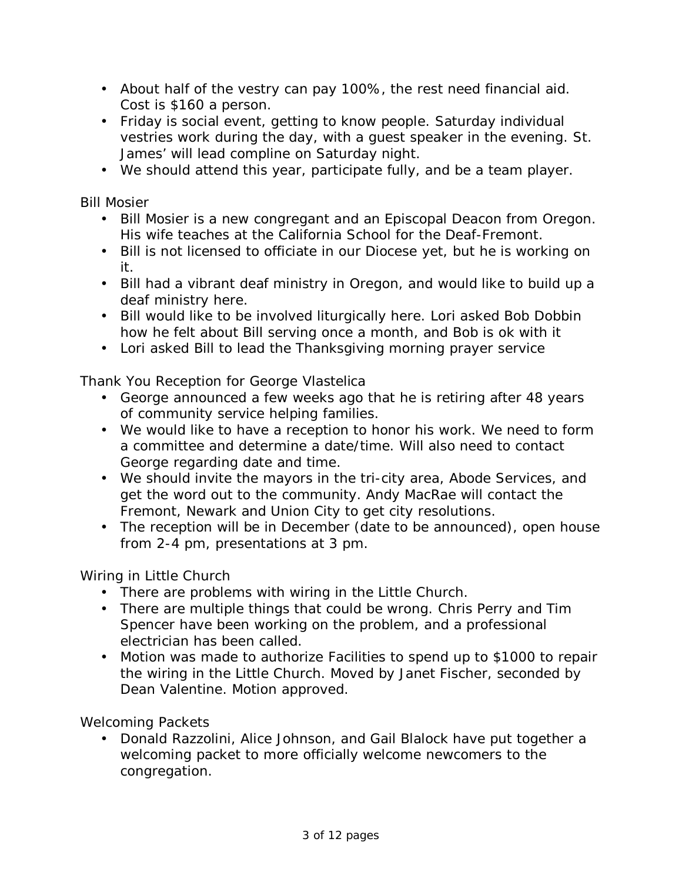- About half of the vestry can pay 100%, the rest need financial aid. Cost is \$160 a person.
- Friday is social event, getting to know people. Saturday individual vestries work during the day, with a guest speaker in the evening. St. James' will lead compline on Saturday night.
- We should attend this year, participate fully, and be a team player.

Bill Mosier

- Bill Mosier is a new congregant and an Episcopal Deacon from Oregon. His wife teaches at the California School for the Deaf-Fremont.
- Bill is not licensed to officiate in our Diocese yet, but he is working on it.
- Bill had a vibrant deaf ministry in Oregon, and would like to build up a deaf ministry here.
- Bill would like to be involved liturgically here. Lori asked Bob Dobbin how he felt about Bill serving once a month, and Bob is ok with it
- Lori asked Bill to lead the Thanksgiving morning prayer service

Thank You Reception for George Vlastelica

- George announced a few weeks ago that he is retiring after 48 years of community service helping families.
- We would like to have a reception to honor his work. We need to form a committee and determine a date/time. Will also need to contact George regarding date and time.
- We should invite the mayors in the tri-city area, Abode Services, and get the word out to the community. Andy MacRae will contact the Fremont, Newark and Union City to get city resolutions.
- The reception will be in December (date to be announced), open house from 2-4 pm, presentations at 3 pm.

Wiring in Little Church

- There are problems with wiring in the Little Church.
- There are multiple things that could be wrong. Chris Perry and Tim Spencer have been working on the problem, and a professional electrician has been called.
- Motion was made to authorize Facilities to spend up to \$1000 to repair the wiring in the Little Church. Moved by Janet Fischer, seconded by Dean Valentine. Motion approved.

Welcoming Packets

• Donald Razzolini, Alice Johnson, and Gail Blalock have put together a welcoming packet to more officially welcome newcomers to the congregation.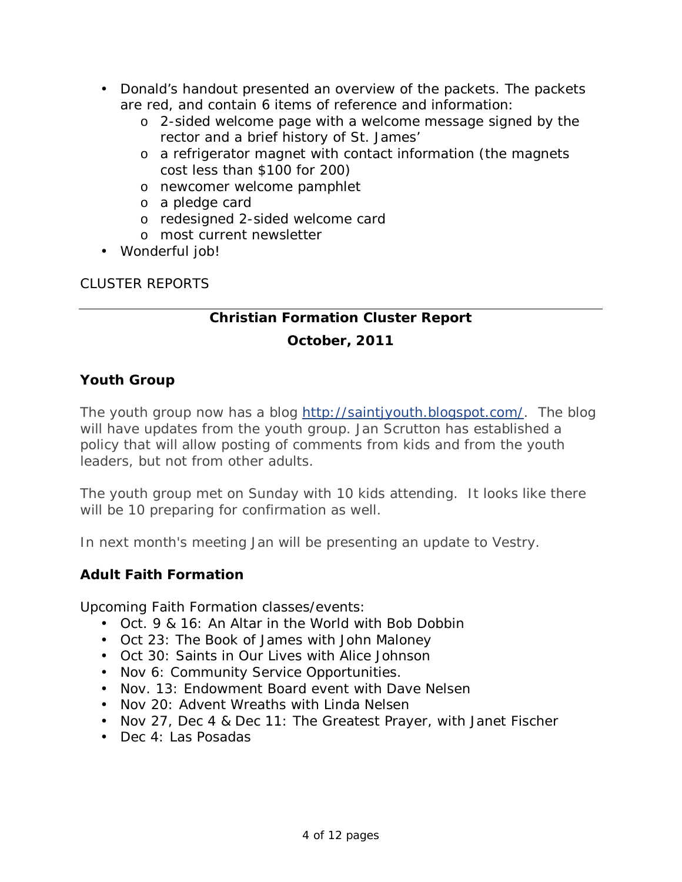- Donald's handout presented an overview of the packets. The packets are red, and contain 6 items of reference and information:
	- o 2-sided welcome page with a welcome message signed by the rector and a brief history of St. James'
	- o a refrigerator magnet with contact information (the magnets cost less than \$100 for 200)
	- o newcomer welcome pamphlet
	- o a pledge card
	- o redesigned 2-sided welcome card
	- o most current newsletter
- Wonderful job!

# CLUSTER REPORTS

# **Christian Formation Cluster Report**

# **October, 2011**

# **Youth Group**

The youth group now has a blog<http://saintjyouth.blogspot.com/>. The blog will have updates from the youth group. Jan Scrutton has established a policy that will allow posting of comments from kids and from the youth leaders, but not from other adults.

The youth group met on Sunday with 10 kids attending. It looks like there will be 10 preparing for confirmation as well.

In next month's meeting Jan will be presenting an update to Vestry.

## **Adult Faith Formation**

Upcoming Faith Formation classes/events:

- Oct. 9 & 16: An Altar in the World with Bob Dobbin
- Oct 23: The Book of James with John Maloney
- Oct 30: Saints in Our Lives with Alice Johnson
- Nov 6: Community Service Opportunities.
- Nov. 13: Endowment Board event with Dave Nelsen
- Nov 20: Advent Wreaths with Linda Nelsen
- Nov 27, Dec 4 & Dec 11: The Greatest Prayer, with Janet Fischer
- Dec 4: Las Posadas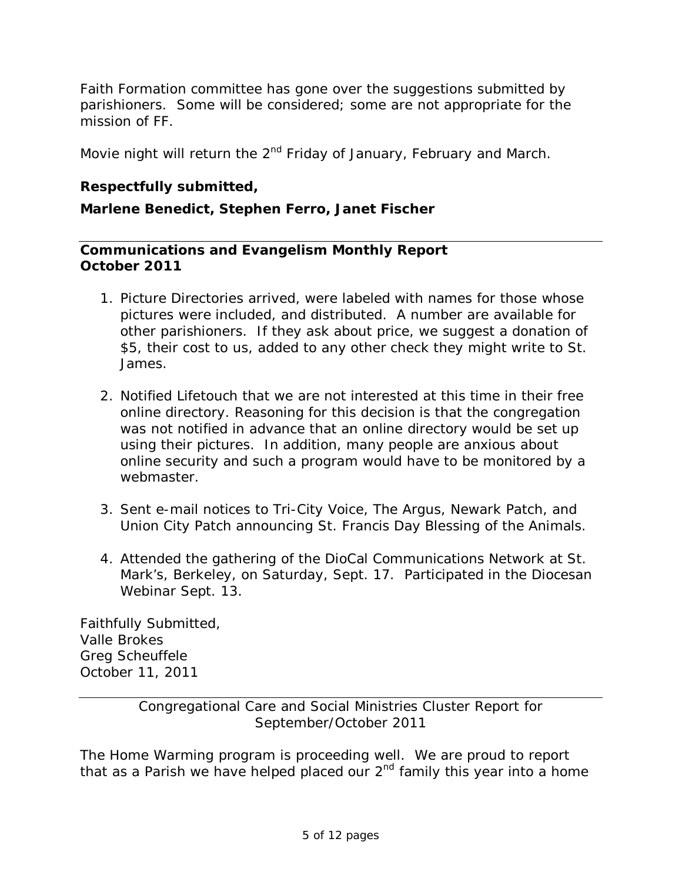Faith Formation committee has gone over the suggestions submitted by parishioners. Some will be considered; some are not appropriate for the mission of FF.

Movie night will return the  $2^{nd}$  Friday of January, February and March.

**Respectfully submitted,** 

**Marlene Benedict, Stephen Ferro, Janet Fischer** 

**Communications and Evangelism Monthly Report October 2011**

- 1. Picture Directories arrived, were labeled with names for those whose pictures were included, and distributed. A number are available for other parishioners. If they ask about price, we suggest a donation of \$5, their cost to us, added to any other check they might write to St. James.
- 2. Notified Lifetouch that we are not interested at this time in their free online directory. Reasoning for this decision is that the congregation was not notified in advance that an online directory would be set up using their pictures. In addition, many people are anxious about online security and such a program would have to be monitored by a webmaster.
- 3. Sent e-mail notices to Tri-City Voice, The Argus, Newark Patch, and Union City Patch announcing St. Francis Day Blessing of the Animals.
- 4. Attended the gathering of the DioCal Communications Network at St. Mark's, Berkeley, on Saturday, Sept. 17. Participated in the Diocesan Webinar Sept. 13.

Faithfully Submitted, Valle Brokes Greg Scheuffele October 11, 2011

> Congregational Care and Social Ministries Cluster Report for September/October 2011

The Home Warming program is proceeding well. We are proud to report that as a Parish we have helped placed our  $2<sup>nd</sup>$  family this year into a home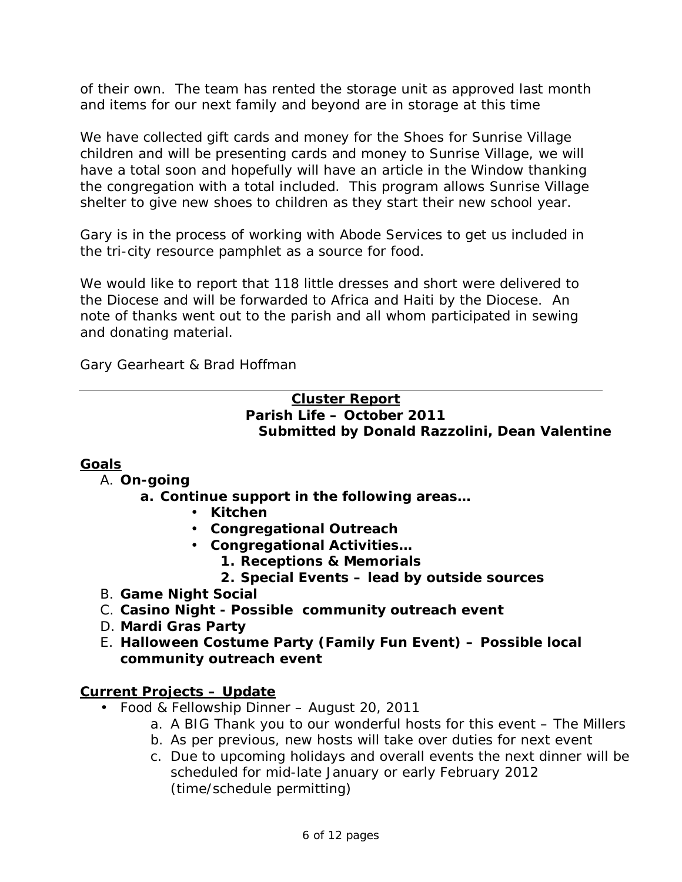of their own. The team has rented the storage unit as approved last month and items for our next family and beyond are in storage at this time

We have collected gift cards and money for the Shoes for Sunrise Village children and will be presenting cards and money to Sunrise Village, we will have a total soon and hopefully will have an article in the Window thanking the congregation with a total included. This program allows Sunrise Village shelter to give new shoes to children as they start their new school year.

Gary is in the process of working with Abode Services to get us included in the tri-city resource pamphlet as a source for food.

*We would like to report that 118 little dresses and short were delivered to the Diocese and will be forwarded to Africa and Haiti by the Diocese. An note of thanks went out to the parish and all whom participated in sewing and donating material.* 

Gary Gearheart & Brad Hoffman

#### **Cluster Report Parish Life – October 2011 Submitted by Donald Razzolini, Dean Valentine**

## **Goals**

## A. **On-going**

- **a. Continue support in the following areas…** 
	- **Kitchen**
	- **Congregational Outreach**
	- **Congregational Activities…** 
		- **1. Receptions & Memorials**
		- **2. Special Events lead by outside sources**
- B. **Game Night Social**
- C. **Casino Night - Possible community outreach event**
- D. **Mardi Gras Party**
- E. **Halloween Costume Party (Family Fun Event) – Possible local community outreach event**

#### **Current Projects – Update**

- Food & Fellowship Dinner August 20, 2011
	- a. A BIG Thank you to our wonderful hosts for this event The Millers
	- b. As per previous, new hosts will take over duties for next event
	- c. Due to upcoming holidays and overall events the next dinner will be scheduled for mid-late January or early February 2012 (time/schedule permitting)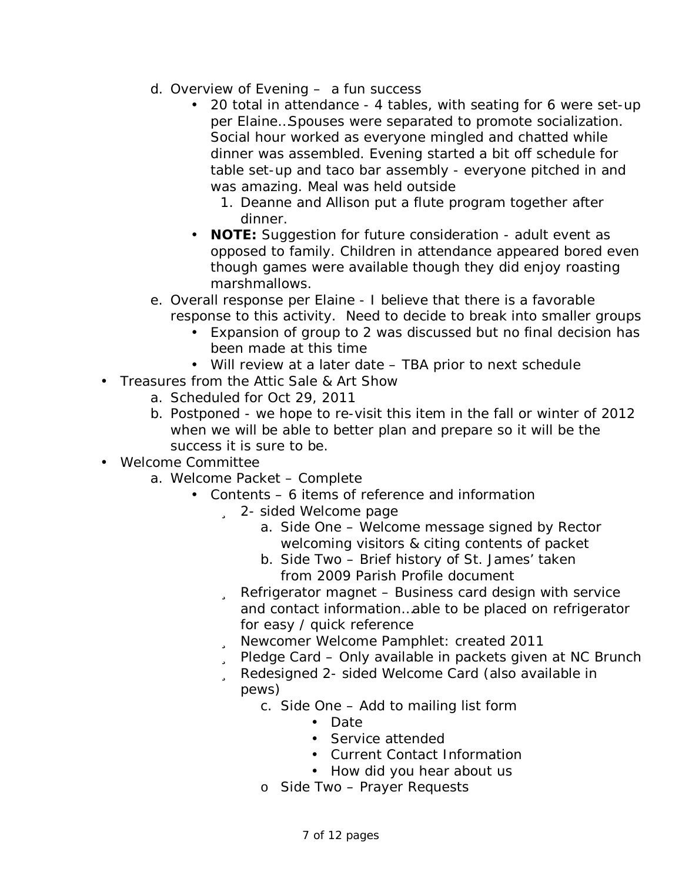- d. Overview of Evening a fun success
	- 20 total in attendance 4 tables, with seating for 6 were set-up per Elaine…Spouses were separated to promote socialization. Social hour worked as everyone mingled and chatted while dinner was assembled. Evening started a bit off schedule for table set-up and taco bar assembly - everyone pitched in and was amazing. Meal was held outside
		- 1. Deanne and Allison put a flute program together after dinner.
	- **NOTE:** Suggestion for future consideration adult event as opposed to family. Children in attendance appeared bored even though games were available though they did enjoy roasting marshmallows.
- e. Overall response per Elaine I believe that there is a favorable response to this activity. Need to decide to break into smaller groups
	- Expansion of group to 2 was discussed but no final decision has been made at this time
- Will review at a later date TBA prior to next schedule
- Treasures from the Attic Sale & Art Show
	- a. Scheduled for Oct 29, 2011
	- b. Postponed we hope to re-visit this item in the fall or winter of 2012 when we will be able to better plan and prepare so it will be the success it is sure to be.
- Welcome Committee
	- a. Welcome Packet Complete
		- Contents 6 items of reference and information
			- ü 2- sided Welcome page
				- a. Side One Welcome message signed by Rector welcoming visitors & citing contents of packet
				- b. Side Two Brief history of St. James' taken from 2009 Parish Profile document
				- ü Refrigerator magnet Business card design with service and contact information…able to be placed on refrigerator for easy / quick reference
				- ü Newcomer Welcome Pamphlet: created 2011
			- ü Pledge Card Only available in packets given at NC Brunch
			- ü Redesigned 2- sided Welcome Card (also available in pews)
				- c. Side One Add to mailing list form
					- Date
					- Service attended
					- Current Contact Information
					- How did you hear about us
				- o Side Two Prayer Requests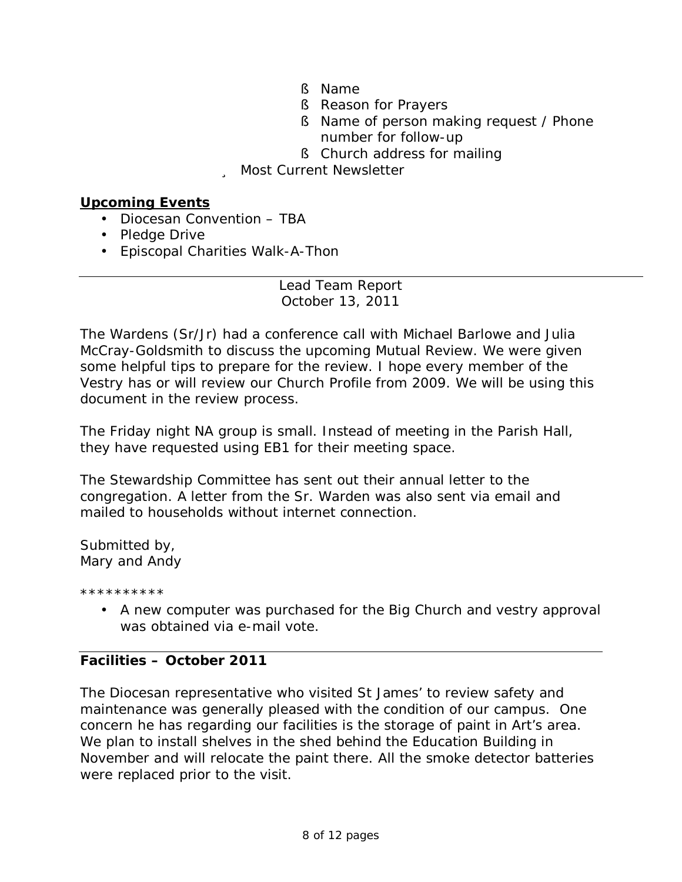- § Name
- § Reason for Prayers
- § Name of person making request / Phone number for follow-up
- § Church address for mailing

## ü Most Current Newsletter

#### **Upcoming Events**

- Diocesan Convention TBA
- Pledge Drive
- Episcopal Charities Walk-A-Thon

Lead Team Report October 13, 2011

The Wardens (Sr/Jr) had a conference call with Michael Barlowe and Julia McCray-Goldsmith to discuss the upcoming Mutual Review. We were given some helpful tips to prepare for the review. I hope every member of the Vestry has or will review our Church Profile from 2009. We will be using this document in the review process.

The Friday night NA group is small. Instead of meeting in the Parish Hall, they have requested using EB1 for their meeting space.

The Stewardship Committee has sent out their annual letter to the congregation. A letter from the Sr. Warden was also sent via email and mailed to households without internet connection.

Submitted by, Mary and Andy

\*\*\*\*\*\*\*\*\*\*

• A new computer was purchased for the Big Church and vestry approval was obtained via e-mail vote.

## **Facilities – October 2011**

The Diocesan representative who visited St James' to review safety and maintenance was generally pleased with the condition of our campus. One concern he has regarding our facilities is the storage of paint in Art's area. We plan to install shelves in the shed behind the Education Building in November and will relocate the paint there. All the smoke detector batteries were replaced prior to the visit.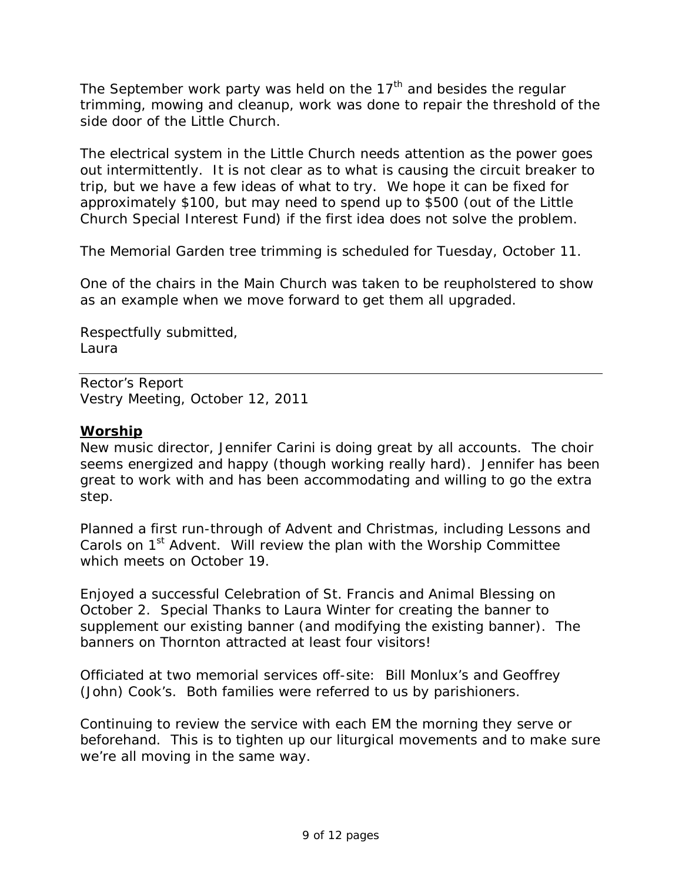The September work party was held on the  $17<sup>th</sup>$  and besides the regular trimming, mowing and cleanup, work was done to repair the threshold of the side door of the Little Church.

The electrical system in the Little Church needs attention as the power goes out intermittently. It is not clear as to what is causing the circuit breaker to trip, but we have a few ideas of what to try. We hope it can be fixed for approximately \$100, but may need to spend up to \$500 (out of the Little Church Special Interest Fund) if the first idea does not solve the problem.

The Memorial Garden tree trimming is scheduled for Tuesday, October 11.

One of the chairs in the Main Church was taken to be reupholstered to show as an example when we move forward to get them all upgraded.

Respectfully submitted, Laura

Rector's Report Vestry Meeting, October 12, 2011

### **Worship**

New music director, Jennifer Carini is doing great by all accounts. The choir seems energized and happy (though working really hard). Jennifer has been great to work with and has been accommodating and willing to go the extra step.

Planned a first run-through of Advent and Christmas, including Lessons and Carols on 1<sup>st</sup> Advent. Will review the plan with the Worship Committee which meets on October 19.

Enjoyed a successful Celebration of St. Francis and Animal Blessing on October 2. Special Thanks to Laura Winter for creating the banner to supplement our existing banner (and modifying the existing banner). The banners on Thornton attracted at least four visitors!

Officiated at two memorial services off-site: Bill Monlux's and Geoffrey (John) Cook's. Both families were referred to us by parishioners.

Continuing to review the service with each EM the morning they serve or beforehand. This is to tighten up our liturgical movements and to make sure we're all moving in the same way.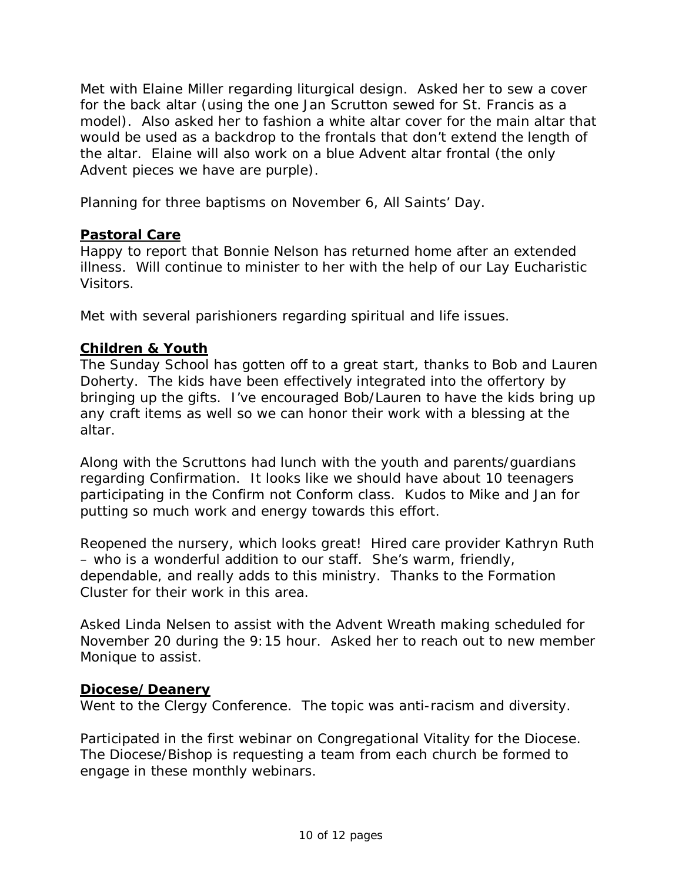Met with Elaine Miller regarding liturgical design. Asked her to sew a cover for the back altar (using the one Jan Scrutton sewed for St. Francis as a model). Also asked her to fashion a white altar cover for the main altar that would be used as a backdrop to the frontals that don't extend the length of the altar. Elaine will also work on a blue Advent altar frontal (the only Advent pieces we have are purple).

Planning for three baptisms on November 6, All Saints' Day.

### **Pastoral Care**

Happy to report that Bonnie Nelson has returned home after an extended illness. Will continue to minister to her with the help of our Lay Eucharistic Visitors.

Met with several parishioners regarding spiritual and life issues.

### **Children & Youth**

The Sunday School has gotten off to a great start, thanks to Bob and Lauren Doherty. The kids have been effectively integrated into the offertory by bringing up the gifts. I've encouraged Bob/Lauren to have the kids bring up any craft items as well so we can honor their work with a blessing at the altar.

Along with the Scruttons had lunch with the youth and parents/guardians regarding Confirmation. It looks like we should have about 10 teenagers participating in the Confirm not Conform class. Kudos to Mike and Jan for putting so much work and energy towards this effort.

Reopened the nursery, which looks great! Hired care provider Kathryn Ruth – who is a wonderful addition to our staff. She's warm, friendly, dependable, and really adds to this ministry. Thanks to the Formation Cluster for their work in this area.

Asked Linda Nelsen to assist with the Advent Wreath making scheduled for November 20 during the 9:15 hour. Asked her to reach out to new member Monique to assist.

#### **Diocese/Deanery**

Went to the Clergy Conference. The topic was anti-racism and diversity.

Participated in the first webinar on Congregational Vitality for the Diocese. The Diocese/Bishop is requesting a team from each church be formed to engage in these monthly webinars.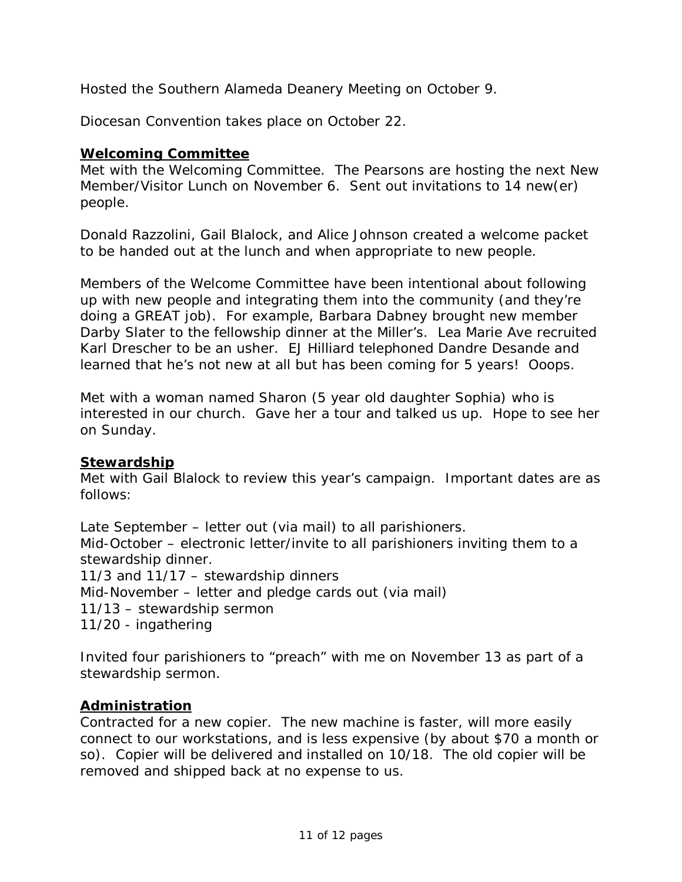Hosted the Southern Alameda Deanery Meeting on October 9.

Diocesan Convention takes place on October 22.

### **Welcoming Committee**

Met with the Welcoming Committee. The Pearsons are hosting the next New Member/Visitor Lunch on November 6. Sent out invitations to 14 new(er) people.

Donald Razzolini, Gail Blalock, and Alice Johnson created a welcome packet to be handed out at the lunch and when appropriate to new people.

Members of the Welcome Committee have been intentional about following up with new people and integrating them into the community (and they're doing a GREAT job). For example, Barbara Dabney brought new member Darby Slater to the fellowship dinner at the Miller's. Lea Marie Ave recruited Karl Drescher to be an usher. EJ Hilliard telephoned Dandre Desande and learned that he's not new at all but has been coming for 5 years! Ooops.

Met with a woman named Sharon (5 year old daughter Sophia) who is interested in our church. Gave her a tour and talked us up. Hope to see her on Sunday.

#### **Stewardship**

Met with Gail Blalock to review this year's campaign. Important dates are as follows:

Late September – letter out (via mail) to all parishioners. Mid-October – electronic letter/invite to all parishioners inviting them to a stewardship dinner. 11/3 and 11/17 – stewardship dinners Mid-November – letter and pledge cards out (via mail) 11/13 – stewardship sermon

11/20 - ingathering

Invited four parishioners to "preach" with me on November 13 as part of a stewardship sermon.

## **Administration**

Contracted for a new copier. The new machine is faster, will more easily connect to our workstations, and is less expensive (by about \$70 a month or so). Copier will be delivered and installed on 10/18. The old copier will be removed and shipped back at no expense to us.